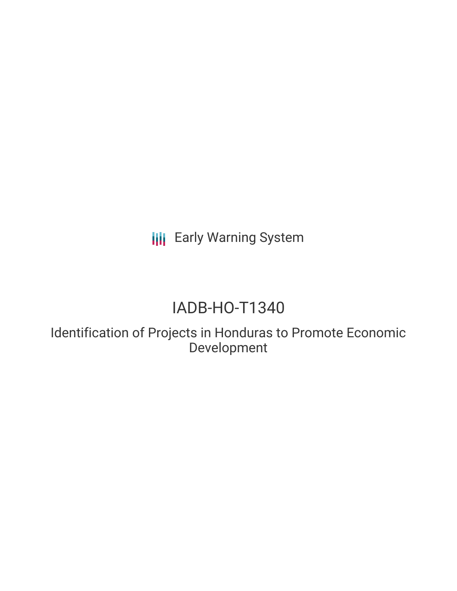**III** Early Warning System

# IADB-HO-T1340

Identification of Projects in Honduras to Promote Economic Development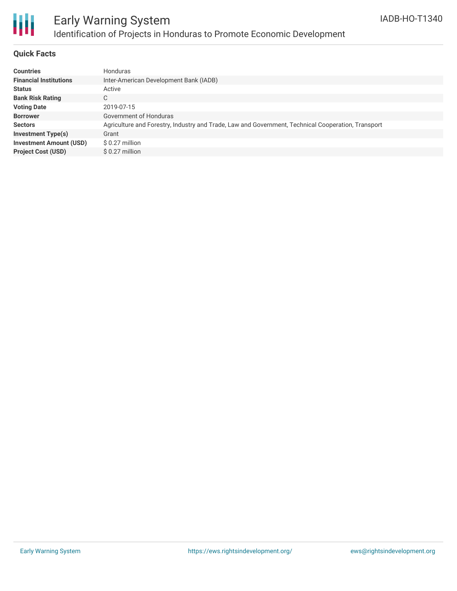

# Early Warning System Identification of Projects in Honduras to Promote Economic Development

### **Quick Facts**

| <b>Countries</b>               | <b>Honduras</b>                                                                                    |
|--------------------------------|----------------------------------------------------------------------------------------------------|
| <b>Financial Institutions</b>  | Inter-American Development Bank (IADB)                                                             |
| <b>Status</b>                  | Active                                                                                             |
| <b>Bank Risk Rating</b>        | C                                                                                                  |
| <b>Voting Date</b>             | 2019-07-15                                                                                         |
| <b>Borrower</b>                | Government of Honduras                                                                             |
| <b>Sectors</b>                 | Agriculture and Forestry, Industry and Trade, Law and Government, Technical Cooperation, Transport |
| <b>Investment Type(s)</b>      | Grant                                                                                              |
| <b>Investment Amount (USD)</b> | $$0.27$ million                                                                                    |
| <b>Project Cost (USD)</b>      | $$0.27$ million                                                                                    |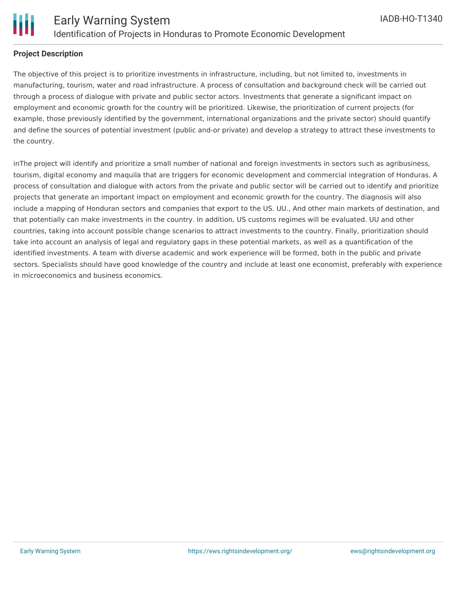

### **Project Description**

The objective of this project is to prioritize investments in infrastructure, including, but not limited to, investments in manufacturing, tourism, water and road infrastructure. A process of consultation and background check will be carried out through a process of dialogue with private and public sector actors. Investments that generate a significant impact on employment and economic growth for the country will be prioritized. Likewise, the prioritization of current projects (for example, those previously identified by the government, international organizations and the private sector) should quantify and define the sources of potential investment (public and-or private) and develop a strategy to attract these investments to the country.

inThe project will identify and prioritize a small number of national and foreign investments in sectors such as agribusiness, tourism, digital economy and maquila that are triggers for economic development and commercial integration of Honduras. A process of consultation and dialogue with actors from the private and public sector will be carried out to identify and prioritize projects that generate an important impact on employment and economic growth for the country. The diagnosis will also include a mapping of Honduran sectors and companies that export to the US. UU., And other main markets of destination, and that potentially can make investments in the country. In addition, US customs regimes will be evaluated. UU and other countries, taking into account possible change scenarios to attract investments to the country. Finally, prioritization should take into account an analysis of legal and regulatory gaps in these potential markets, as well as a quantification of the identified investments. A team with diverse academic and work experience will be formed, both in the public and private sectors. Specialists should have good knowledge of the country and include at least one economist, preferably with experience in microeconomics and business economics.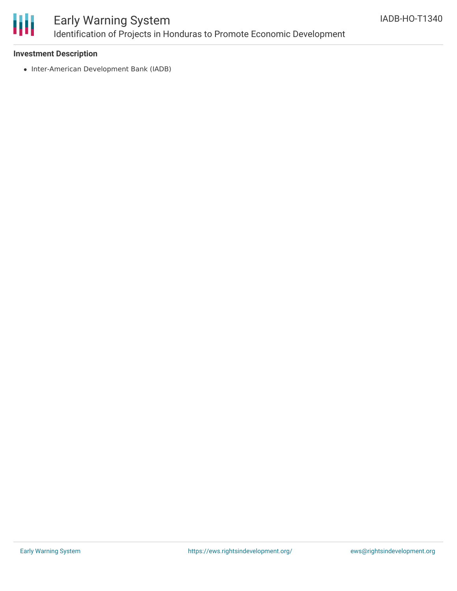

# Early Warning System Identification of Projects in Honduras to Promote Economic Development

### **Investment Description**

• Inter-American Development Bank (IADB)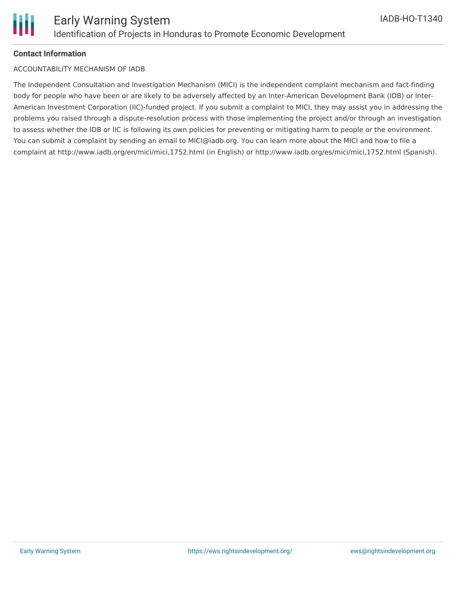

#### **Contact Information**

#### ACCOUNTABILITY MECHANISM OF IADB

The Independent Consultation and Investigation Mechanism (MICI) is the independent complaint mechanism and fact-finding body for people who have been or are likely to be adversely affected by an Inter-American Development Bank (IDB) or Inter-American Investment Corporation (IIC)-funded project. If you submit a complaint to MICI, they may assist you in addressing the problems you raised through a dispute-resolution process with those implementing the project and/or through an investigation to assess whether the IDB or IIC is following its own policies for preventing or mitigating harm to people or the environment. You can submit a complaint by sending an email to MICI@iadb.org. You can learn more about the MICI and how to file a complaint at http://www.iadb.org/en/mici/mici,1752.html (in English) or http://www.iadb.org/es/mici/mici,1752.html (Spanish).